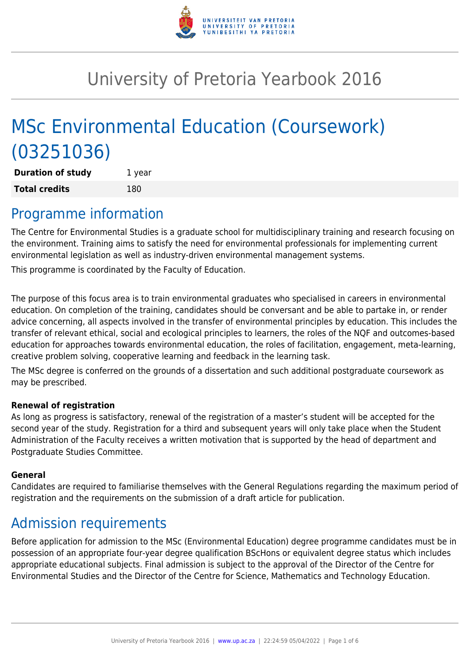

# University of Pretoria Yearbook 2016

# MSc Environmental Education (Coursework) (03251036)

**Duration of study** 1 year **Total credits** 180

### Programme information

The Centre for Environmental Studies is a graduate school for multidisciplinary training and research focusing on the environment. Training aims to satisfy the need for environmental professionals for implementing current environmental legislation as well as industry-driven environmental management systems.

This programme is coordinated by the Faculty of Education.

The purpose of this focus area is to train environmental graduates who specialised in careers in environmental education. On completion of the training, candidates should be conversant and be able to partake in, or render advice concerning, all aspects involved in the transfer of environmental principles by education. This includes the transfer of relevant ethical, social and ecological principles to learners, the roles of the NQF and outcomes-based education for approaches towards environmental education, the roles of facilitation, engagement, meta-learning, creative problem solving, cooperative learning and feedback in the learning task.

The MSc degree is conferred on the grounds of a dissertation and such additional postgraduate coursework as may be prescribed.

#### **Renewal of registration**

As long as progress is satisfactory, renewal of the registration of a master's student will be accepted for the second year of the study. Registration for a third and subsequent years will only take place when the Student Administration of the Faculty receives a written motivation that is supported by the head of department and Postgraduate Studies Committee.

#### **General**

Candidates are required to familiarise themselves with the General Regulations regarding the maximum period of registration and the requirements on the submission of a draft article for publication.

### Admission requirements

Before application for admission to the MSc (Environmental Education) degree programme candidates must be in possession of an appropriate four-year degree qualification BScHons or equivalent degree status which includes appropriate educational subjects. Final admission is subject to the approval of the Director of the Centre for Environmental Studies and the Director of the Centre for Science, Mathematics and Technology Education.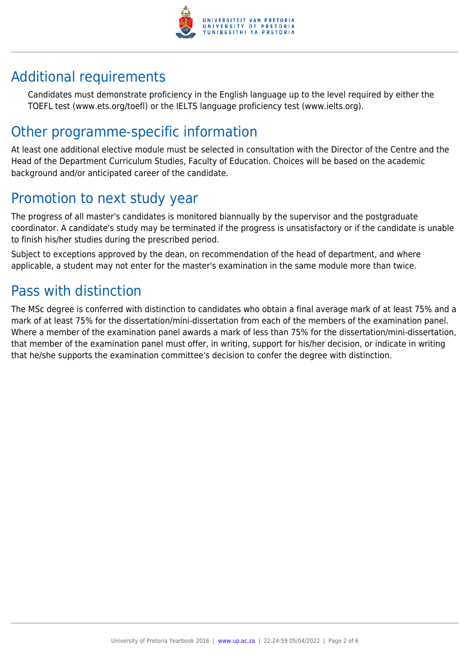

## Additional requirements

Candidates must demonstrate proficiency in the English language up to the level required by either the TOEFL test (www.ets.org/toefl) or the IELTS language proficiency test (www.ielts.org).

### Other programme-specific information

At least one additional elective module must be selected in consultation with the Director of the Centre and the Head of the Department Curriculum Studies, Faculty of Education. Choices will be based on the academic background and/or anticipated career of the candidate.

## Promotion to next study year

The progress of all master's candidates is monitored biannually by the supervisor and the postgraduate coordinator. A candidate's study may be terminated if the progress is unsatisfactory or if the candidate is unable to finish his/her studies during the prescribed period.

Subject to exceptions approved by the dean, on recommendation of the head of department, and where applicable, a student may not enter for the master's examination in the same module more than twice.

## Pass with distinction

The MSc degree is conferred with distinction to candidates who obtain a final average mark of at least 75% and a mark of at least 75% for the dissertation/mini-dissertation from each of the members of the examination panel. Where a member of the examination panel awards a mark of less than 75% for the dissertation/mini-dissertation, that member of the examination panel must offer, in writing, support for his/her decision, or indicate in writing that he/she supports the examination committee's decision to confer the degree with distinction.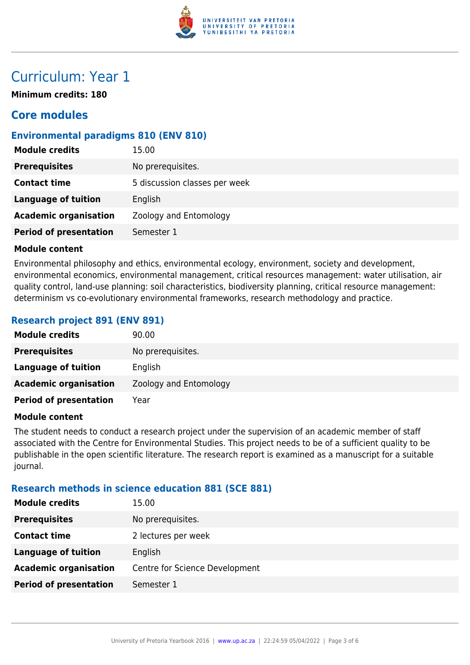

### Curriculum: Year 1

**Minimum credits: 180**

### **Core modules**

#### **Environmental paradigms 810 (ENV 810)**

| <b>Module credits</b>         | 15.00                         |
|-------------------------------|-------------------------------|
| <b>Prerequisites</b>          | No prerequisites.             |
| <b>Contact time</b>           | 5 discussion classes per week |
| <b>Language of tuition</b>    | English                       |
| <b>Academic organisation</b>  | Zoology and Entomology        |
| <b>Period of presentation</b> | Semester 1                    |
|                               |                               |

#### **Module content**

Environmental philosophy and ethics, environmental ecology, environment, society and development, environmental economics, environmental management, critical resources management: water utilisation, air quality control, land-use planning: soil characteristics, biodiversity planning, critical resource management: determinism vs co-evolutionary environmental frameworks, research methodology and practice.

#### **Research project 891 (ENV 891)**

| <b>Module credits</b>         | 90.00                  |
|-------------------------------|------------------------|
| <b>Prerequisites</b>          | No prerequisites.      |
| <b>Language of tuition</b>    | English                |
| <b>Academic organisation</b>  | Zoology and Entomology |
| <b>Period of presentation</b> | Year                   |

#### **Module content**

The student needs to conduct a research project under the supervision of an academic member of staff associated with the Centre for Environmental Studies. This project needs to be of a sufficient quality to be publishable in the open scientific literature. The research report is examined as a manuscript for a suitable journal.

#### **Research methods in science education 881 (SCE 881)**

| <b>Module credits</b>         | 15.00                          |
|-------------------------------|--------------------------------|
| <b>Prerequisites</b>          | No prerequisites.              |
| <b>Contact time</b>           | 2 lectures per week            |
| <b>Language of tuition</b>    | English                        |
| <b>Academic organisation</b>  | Centre for Science Development |
| <b>Period of presentation</b> | Semester 1                     |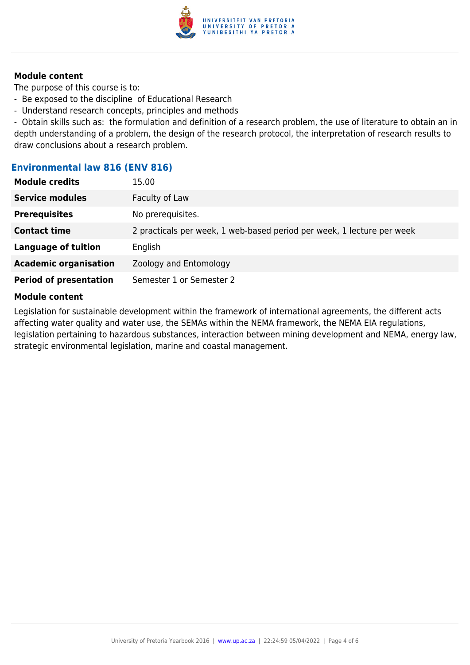

#### **Module content**

The purpose of this course is to:

- Be exposed to the discipline of Educational Research
- Understand research concepts, principles and methods

- Obtain skills such as: the formulation and definition of a research problem, the use of literature to obtain an in depth understanding of a problem, the design of the research protocol, the interpretation of research results to draw conclusions about a research problem.

#### **Environmental law 816 (ENV 816)**

| <b>Module credits</b>         | 15.00                                                                  |
|-------------------------------|------------------------------------------------------------------------|
| <b>Service modules</b>        | Faculty of Law                                                         |
| <b>Prerequisites</b>          | No prerequisites.                                                      |
| <b>Contact time</b>           | 2 practicals per week, 1 web-based period per week, 1 lecture per week |
| <b>Language of tuition</b>    | English                                                                |
| <b>Academic organisation</b>  | Zoology and Entomology                                                 |
| <b>Period of presentation</b> | Semester 1 or Semester 2                                               |

#### **Module content**

Legislation for sustainable development within the framework of international agreements, the different acts affecting water quality and water use, the SEMAs within the NEMA framework, the NEMA EIA regulations, legislation pertaining to hazardous substances, interaction between mining development and NEMA, energy law, strategic environmental legislation, marine and coastal management.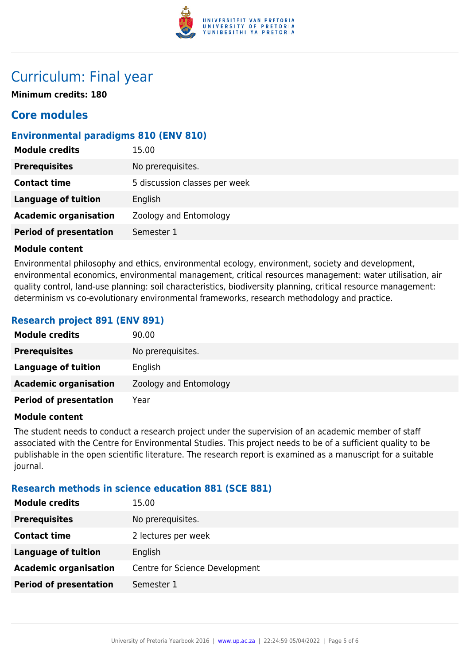

### Curriculum: Final year

**Minimum credits: 180**

### **Core modules**

#### **Environmental paradigms 810 (ENV 810)**

| <b>Module credits</b>         | 15.00                         |
|-------------------------------|-------------------------------|
| <b>Prerequisites</b>          | No prerequisites.             |
| <b>Contact time</b>           | 5 discussion classes per week |
| <b>Language of tuition</b>    | English                       |
| <b>Academic organisation</b>  | Zoology and Entomology        |
| <b>Period of presentation</b> | Semester 1                    |
|                               |                               |

#### **Module content**

Environmental philosophy and ethics, environmental ecology, environment, society and development, environmental economics, environmental management, critical resources management: water utilisation, air quality control, land-use planning: soil characteristics, biodiversity planning, critical resource management: determinism vs co-evolutionary environmental frameworks, research methodology and practice.

#### **Research project 891 (ENV 891)**

| <b>Module credits</b>         | 90.00                  |
|-------------------------------|------------------------|
| <b>Prerequisites</b>          | No prerequisites.      |
| <b>Language of tuition</b>    | English                |
| <b>Academic organisation</b>  | Zoology and Entomology |
| <b>Period of presentation</b> | Year                   |

#### **Module content**

The student needs to conduct a research project under the supervision of an academic member of staff associated with the Centre for Environmental Studies. This project needs to be of a sufficient quality to be publishable in the open scientific literature. The research report is examined as a manuscript for a suitable journal.

#### **Research methods in science education 881 (SCE 881)**

| <b>Module credits</b>         | 15.00                          |
|-------------------------------|--------------------------------|
| <b>Prerequisites</b>          | No prerequisites.              |
| <b>Contact time</b>           | 2 lectures per week            |
| <b>Language of tuition</b>    | English                        |
| <b>Academic organisation</b>  | Centre for Science Development |
| <b>Period of presentation</b> | Semester 1                     |